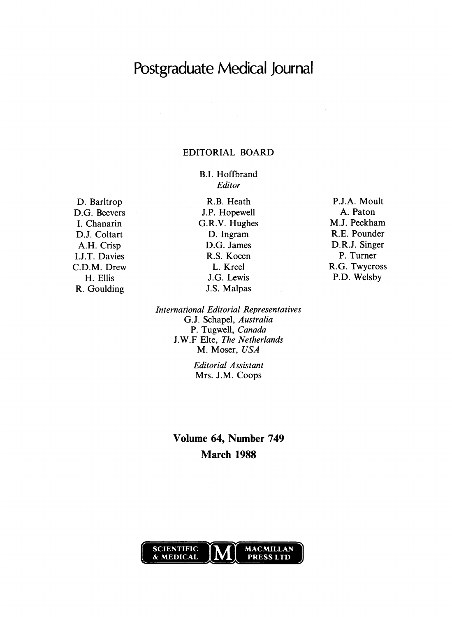# Postgraduate Medical Journal

## EDITORIAL BOARD

B.I. Hoffbrand Editor

D. Barltrop D.G. Beevers I. Chanarin D.J. Coltart A.H. Crisp I.J.T. Davies C.D.M. Drew H. Ellis R. Goulding

R.B. Heath J.P. Hopewell G.R.V. Hughes D. Ingram D.G. James R.S. Kocen L. Kreel J.G. Lewis J.S. Malpas

International Editorial Representatives G.J. Schapel, Australia P. Tugwell, Canada J.W.F Elte, The Netherlands M. Moser, USA

> Editorial Assistant Mrs. J.M. Coops

## Volume 64, Number 749 March 1988



 $\bar{z}$ 

P.J.A. Moult A. Paton M.J. Peckham R.E. Pounder D.R.J. Singer P. Turner R.G. Twycross P.D. Welsby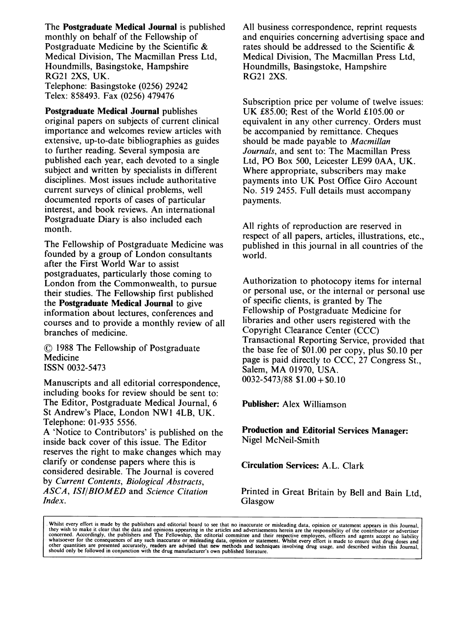The Postgraduate Medical Journal is published monthly on behalf of the Fellowship of Postgraduate Medicine by the Scientific & Medical Division, The Macmillan Press Ltd, Houndmills, Basingstoke, Hampshire RG21 2XS, UK. Telephone: Basingstoke (0256) 29242

Telex: 858493. Fax (0256) 479476

Postgraduate Medical Journal publishes original papers on subjects of current clinical importance and welcomes review articles with extensive, up-to-date bibliographies as guides to further reading. Several symposia are published each year, each devoted to a single subject and written by specialists in different disciplines. Most issues include authoritative current surveys of clinical problems, well documented reports of cases of particular interest, and book reviews. An international Postgraduate Diary is also included each month.

The Fellowship of Postgraduate Medicine was founded by <sup>a</sup> group of London consultants after the First World War to assist postgraduates, particularly those coming to London from the Commonwealth, to pursue their studies. The Fellowship first published the Postgraduate Medical Journal to give information about lectures, conferences and courses and to provide <sup>a</sup> monthly review of all branches of medicine.

© <sup>1988</sup> The Fellowship of Postgraduate Medicine ISSN 0032-5473

Manuscripts and all editorial correspondence, including books for review should be sent to: The Editor, Postgraduate Medical Journal, <sup>6</sup> St Andrew's Place, London NW1 4LB, UK. Telephone: 01-935 5556.

A 'Notice to Contributors' is published on the inside back cover of this issue. The Editor reserves the right to make changes which may clarify or condense papers where this is considered desirable. The Journal is covered by Current Contents, Biological Abstracts, ASCA, ISI/BIOMED and Science Citation Index.

All business correspondence, reprint requests and enquiries concerning advertising space and rates should be addressed to the Scientific & Medical Division, The Macmillan Press Ltd, Houndmills, Basingstoke, Hampshire RG21 2XS.

Subscription price per volume of twelve issues: UK £85.00; Rest of the World £105.00 or equivalent in any other currency. Orders must be accompanied by remittance. Cheques should be made payable to Macmillan Journals, and sent to: The Macmillan Press Ltd, PO Box 500, Leicester LE99 OAA, UK. Where appropriate, subscribers may make payments into UK Post Office Giro Account No. 519 2455. Full details must accompany payments.

All rights of reproduction are reserved in respect of all papers, articles, illustrations, etc., published in this journal in all countries of the world.

Authorization to photocopy items for internal or personal use, or the internal or personal use of specific clients, is granted by The Fellowship of Postgraduate Medicine for libraries and other users registered with the Copyright Clearance Center (CCC) Transactional Reporting Service, provided that the base fee of \$01.00 per copy, plus \$0.10 per page is paid directly to CCC, 27 Congress St., Salem, MA 01970, USA.  $0032 - 5473/88$  \$1.00 + \$0.10

Publisher: Alex Williamson

Production and Editorial Services Manager: Nigel McNeil-Smith

Circulation Services: A.L. Clark

Printed in Great Britain by Bell and Bain Ltd, Glasgow

Whilst every effort is made by the publishers and editorial board to see that no inaccurate or misleading data, opinion or statement appears in this Journal, they wish to make it clear that the data and opinions appearing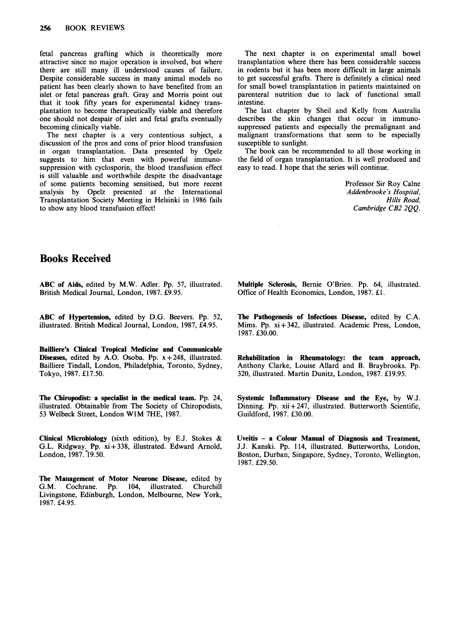fetal pancreas grafting which is theoretically more attractive since no major operation is involved, but where there are still many ill understood causes of failure. Despite considerable success in many animal models no patient has been clearly shown to have benefited from an islet or fetal pancreas graft. Gray and Morris point out that it took fifty years for experimental kidney transplantation to become therapeutically viable and therefore one should not despair of islet and fetal grafts eventually becoming clinically viable.

The next chapter is a very contentious subject, a discussion of the pros and cons of prior blood transfusion in organ transplantation. Data presented by Opelz suggests to him that even with powerful immunosuppression with cyclosporin, the blood transfusion effect is still valuable and worthwhile despite the disadvantage of some patients becoming sensitised, but more recent analysis by Opelz presented at the International Transplantation Society Meeting in Helsinki in 1986 fails to show any blood transfusion effect!

The next chapter is on experimental small bowel transplantation where there has been considerable success in rodents but it has been more difficult in large animals to get successful grafts. There is definitely a clinical need for small bowel transplantation in patients maintained on parenteral nutrition due to lack of functional small intestine.

The last chapter by Sheil and Kelly from Australia describes the skin changes that occur in immunosuppressed patients and especially the premalignant and malignant transformations that seem to be especially susceptible to sunlight.

The book can be recommended to all those working in the field of organ transplantation. It is well produced and easy to read. <sup>I</sup> hope that the series will continue.

> Professor Sir Roy Calne Addenbrooke's Hospital, Hills Road, Cambridge CB2 2QQ.

## Books Received

ABC of Aids, edited by M.W. Adler. Pp. 57, illustrated. British Medical Journal, London, 1987. £9.95.

ABC of Hypertension, edited by D.G. Beevers. Pp. 52, illustrated. British Medical Journal, London, 1987, £4.95.

Bailliere's Clinical Tropical Medicine and Communicable **Diseases,** edited by A.O. Osoba. Pp.  $x + 248$ , illustrated. Bailliere Tindall, London, Philadelphia, Toronto, Sydney, Tokyo, 1987. £17.50.

The Chiropodist: a specialist in the medical team. Pp. 24, illustrated. Obtainable from The Society of Chiropodists, <sup>53</sup> Welbeck Street, London WIM 7HE, 1987.

Clinical Microbiology (sixth edition), by E.J. Stokes & G.L. Ridgway. Pp. xi+338, illustrated. Edward Arnold, London, 1987. 19.50.

The Management of Motor Neurone Disease, edited by G.M. Cochrane. Pp. 104, illustrated. Churchill Livingstone, Edinburgh, London, Melbourne, New York, 1987. £4.95.

Multiple Sclerosis, Bernie O'Brien. Pp. 64, illustrated. Office of Health Economics, London, 1987. £1.

The Pathogenesis of Infectious Disease, edited by C.A. Mims. Pp. xi+342, illustrated. Academic Press, London, 1987. £30.00.

Rehabilitation in Rheumatology: the team approach, Anthony Clarke, Louise Allard and B. Braybrooks. Pp. 320, illustrated. Martin Dunitz, London, 1987. £19.95.

Systemic Inflammatory Disease and the Eye, by W.J. Dinning. Pp.  $xii + 247$ , illustrated. Butterworth Scientific, Guildford, 1987. £30.00.

Uveitis - a Colour Manual of Diagnosis and Treatment, J.J. Kanski. Pp. 114, illustrated. Butterworths, London, Boston, Durban, Singapore, Sydney, Toronto, Wellington, 1987. £29.50.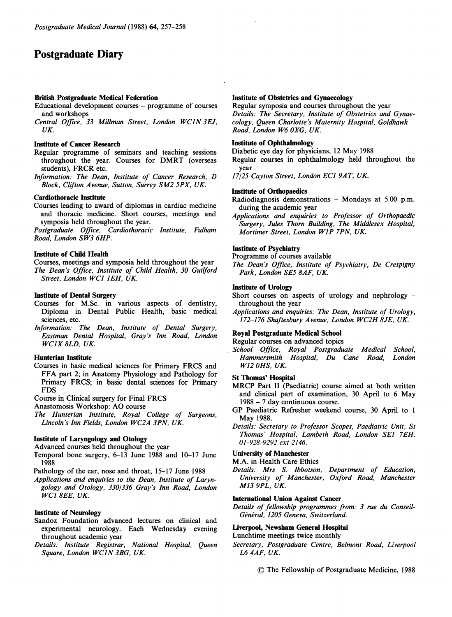## Postgraduate Diary

#### British Postgraduate Medical Federation

- Educational development courses programme of courses and workshops
- Central Office, <sup>33</sup> Millman Street, London WCIN 3EJ, UK.

#### Institute of Cancer Research

- Regular programme of seminars and teaching sessions throughout the year. Courses for DMRT (overseas students), FRCR etc.
- Information: The Dean, Institute of Cancer Research, D Block, Clifton Avenue, Sutton, Surrey SM2 5PX, UK.

#### Cardiothoracic Institute

Courses leading to award of diplomas in cardiac medicine and thoracic medicine. Short courses, meetings and symposia held throughout the year.

Postgraduate Office, Cardiothoracic Institute, Fulham Road, London SW3 6HP.

#### Institute of Child Health

Courses, meetings and symposia held throughout the year The Dean's Office, Institute of Child Health, 30 Guilford Street, London WC1 1EH, UK.

#### Institute of Dental Surgery

- Courses for M.Sc. in various aspects of dentistry, Diploma in Dental Public Health, basic medical sciences, etc.
- Information: The Dean, Institute of Dental Surgery, Eastman Dental Hospital, Gray's Inn Road, London WCIX 8LD, UK.

#### Hunterian Institute

- Courses in basic medical sciences for Primary FRCS and FFA part 2; in Anatomy Physiology and Pathology for Primary FRCS; in basic dental sciences for Primary FDS
- Course in Clinical surgery for Final FRCS
- Anastomosis Workshop: AO course
- The Hunterian Institute, Royal College of Surgeons, Lincoln's Inn Fields, London WC2A 3PN, UK.

#### Institute of Laryngology and Otology

Advanced courses held throughout the year

- Temporal bone surgery, 6-13 June 1988 and 10-17 June 1988
- Pathology of the ear, nose and throat, 15-17 June 1988
- Applications and enquiries to the Dean, Institute of Laryngology and Otology, 330/336 Gray's Inn Road, London WC1 8EE, UK.

#### Institute of Neurology

- Sandoz Foundation advanced lectures on clinical and experimental neurology. Each Wednesday evening throughout academic year
- Details: Institute Registrar, National Hospital, Queen Square, London WCIN 3BG, UK.

#### Institute of Obstetrics and Gynaecology

Regular symposia and courses throughout the year Details: The Secretary, Institute of Obstetrics and Gynaecology, Queen Charlotte's Maternity Hospital, Goldhawk Road, London W6 OXG, UK.

#### Institute of Ophthalmology

Diabetic eye day for physicians, <sup>12</sup> May 1988

Regular courses in ophthalmology held throughout the year

17/25 Cayton Street, London ECI 9AT, UK.

#### Institute of Orthopaedics

- Radiodiagnosis demonstrations Mondays at 5.00 p.m. during the academic year
- Applications and enquiries to Professor of Orthopaedic Surgery, Jules Thorn Building, The Middlesex Hospital, Mortimer Street, London W1P 7PN, UK.

#### Institute of Psychiatry

Programme of courses available

The Dean's Office, Institute of Psychiatry, De Crespigny Park, London SE5 8AF, UK.

#### Institute of Urology

- Short courses on aspects of urology and nephrology throughout the year
- Applications and enquiries: The Dean, Institute of Urology, 172-176 Shaftesbury Avenue, London WC2H 8JE, UK.

#### Royal Postgraduate Medical School

Regular courses on advanced topics

School Office, Royal Postgraduate Medical School, Hammersmith Hospital, Du Cane Road, London W12 OHS, UK.

#### St Thomas' Hospital

- MRCP Part II (Paediatric) course aimed at both written and clinical part of examination, <sup>30</sup> April to <sup>6</sup> May <sup>1988</sup> - <sup>7</sup> day continuous course.
- GP Paediatric Refresher weekend course, <sup>30</sup> April to <sup>1</sup> May 1988.
- Details: Secretary to Professor Scopes, Paediatric Unit, St Thomas' Hospital, Lambeth Road, London SE1 7EH. 01-928-9292 ext 2146.

#### University of Manchester

- M.A. in Health Care Ethics
- Details: Mrs S. Ibbotson, Department of Education, University of Manchester, Oxford Road, Manchester M13 9PL, UK.

#### International Union Against Cancer

Details of fellowship programmes from: 3 rue du Conseil-Général, 1205 Geneva, Switzerland.

#### Liverpool, Newsham General Hospital

#### Lunchtime meetings twice monthly

Secretary, Postgraduate Centre, Belmont Road, Liverpool L6 4AF, UK.

© The Fellowship of Postgraduate Medicine, <sup>1988</sup>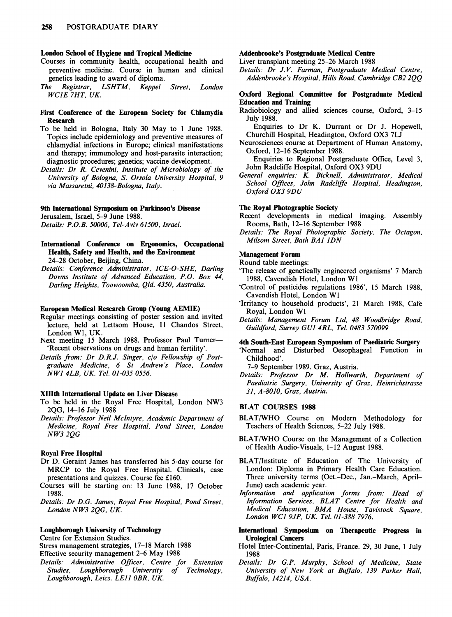#### London School of Hygiene and Tropical Medicine

- Courses in community health, occupational health and preventive medicine. Course in human and clinical genetics leading to award of diploma.<br>The Registrar, LSHTM, Keppel
- Registrar, LSHTM, Keppel Street, London WCIE 7HT, UK.

#### First Conference of the European Society for Chlamydia Research

- To be held in Bologna, Italy <sup>30</sup> May to <sup>1</sup> June 1988. Topics include epidemiology and preventive measures of chlamydial infections in Europe; clinical manifestations and therapy; immunology and host-parasite interaction; diagnostic procedures; genetics; vaccine development.
- Details: Dr R. Cevenini, Institute of Microbiology of the University of Bologna, S. Orsola University Hospital, 9 via Massaretni, 40138-Bologna, Italy.

#### 9th International Symposium on Parkinson's Disease

Jerusalem, Israel, 5-9 June 1988.

Details: P.O.B. 50006, Tel-Aviv 61500, Israel.

#### International Conference on Ergonomics, Occupational Health, Safety and Health, and the Environment 24-28 October, Beijing, China.

Details: Conference Administrator, ICE-O-SHE, Darling Downs Institute of Advanced Education, P.O. Box 44, Darling Heights, Toowoomba, Qld. 4350, Australia.

#### European Medical Research Group (Young AEMIE)

- Regular meetings consisting of poster session and invited lecture, held at Lettsom House, <sup>11</sup> Chandos Street, London W1, UK.
- Next meeting 15 March 1988. Professor Paul Turner-'Recent observations on drugs and human fertility'.
- Details from: Dr D.R.J. Singer, c/o Fellowship of Postgraduate Medicine, 6 St Andrew's Place, London NW1 4LB, UK. Tel. 01-035 0556.

#### XIIIth International Update on Liver Disease

- To be held in the Royal Free Hospital, London NW3 2QG, 14-16 July 1988
- Details: Professor Neil McIntyre, Academic Department of Medicine, Royal Free Hospital, Pond Street, London NW3 2QG

#### Royal Free Hospital

- Dr D. Geraint James has transferred his 5-day course for MRCP to the Royal Free Hospital. Clinicals, case presentations and quizzes. Course fee £160.
- Courses will be starting on: <sup>13</sup> June 1988, 17 October 1988.

Details: Dr D.G. James, Royal Free Hospital, Pond Street, London NW3 2QG, UK.

## Loughborough University of Technology

Centre for Extension Studies.

Stress management strategies, 17-18 March <sup>1988</sup> Effective security management 2-6 May 1988

Details: Administrative Officer, Centre for Extension Studies, Loughborough University of Loughborough, Leics. LEJI OBR, UK.

#### Addenbrooke's Postgraduate Medical Centre

Liver transplant meeting 25-26 March <sup>1988</sup>

Details: Dr J.V. Farman, Postgraduate Medical Centre, Addenbrooke's Hospital, Hills Road, Cambridge CB2 2QQ

#### Oxford Regional Committee for Postgraduate Medical Education and Training

Radiobiology and allied sciences course, Oxford, 3-15 July 1988.

Enquiries to Dr K. Durrant or Dr J. Hopewell, Churchill Hospital, Headington, Oxford OX3 7LJ

Neurosciences course at Department of Human Anatomy, Oxford, 12-16 September 1988.

Enquiries to Regional Postgraduate Office, Level 3, John Radcliffe Hospital, Oxford OX3 9DU

General enquiries: K. Bicknell, Administrator, Medical School Offices, John Radcliffe Hospital, Headington, Oxford OX3 9DU

#### The Royal Photographic Society

Recent developments in medical imaging. Assembly Rooms, Bath, 12-16 September 1988

Details: The Royal Photographic Society, The Octagon, Milsom Street, Bath BA1 IDN

#### Management Forum

Round table meetings:

- 'The release of genetically engineered organisms' <sup>7</sup> March 1988, Cavendish Hotel, London W1
- 'Control of pesticides regulations <sup>1986</sup>', <sup>15</sup> March 1988, Cavendish Hotel, London Wl
- 'Irritancy to household products', <sup>21</sup> March 1988, Cafe Royal, London W1
- Details: Management Forum Ltd, 48 Woodbridge Road, Guildford, Surrey GUI 4RL, Tel. <sup>0483</sup> 570099

#### 4th South-East European Symposium of Paediatric Surgery

'Normal and Disturbed Oesophageal Function in Childhood'.

7-9 September 1989. Graz, Austria.

Details: Professor Dr M. Hollwarth, Department of Paediatric Surgery, University of Graz, Heinrichstrasse 31, A-8010, Graz, Austria.

#### BLAT COURSES <sup>1988</sup>

- BLAT/WHO Course on Modern Methodology for Teachers of Health Sciences, 5-22 July 1988.
- BLAT/WHO Course on the Management of <sup>a</sup> Collection of Health Audio-Visuals, 1-12 August 1988.
- BLAT/Institute of Education of The University of London: Diploma in Primary Health Care Education. Three university terms (Oct.-Dec., Jan.-March, April-June) each academic year.
- Information and application forms from: Head of Information Services, BLAT Centre for Health and Medical Education, BMA House, Tavistock Square, London WC1 9JP, UK. Tel. 01-388 7976.
- International Symposium on Therapeutic Progress in Urological Cancers
- Hotel Inter-Continental, Paris, France. 29, 30 June, <sup>1</sup> July 1988
- Details: Dr G.P. Murphy, School of Medicine, State University of New York at Buffalo, <sup>139</sup> Parker Hall, Buffalo, 14214, USA.